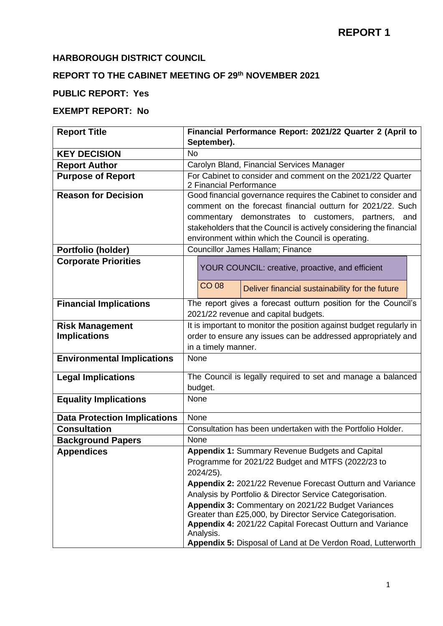#### **HARBOROUGH DISTRICT COUNCIL**

### **REPORT TO THE CABINET MEETING OF 29th NOVEMBER 2021**

#### **PUBLIC REPORT: Yes**

#### **EXEMPT REPORT: No**

| <b>Report Title</b>                                        | Financial Performance Report: 2021/22 Quarter 2 (April to                                            |               |  |  |  |  |  |  |  |
|------------------------------------------------------------|------------------------------------------------------------------------------------------------------|---------------|--|--|--|--|--|--|--|
|                                                            | September).                                                                                          |               |  |  |  |  |  |  |  |
| <b>KEY DECISION</b>                                        | <b>No</b>                                                                                            |               |  |  |  |  |  |  |  |
| <b>Report Author</b>                                       | Carolyn Bland, Financial Services Manager                                                            |               |  |  |  |  |  |  |  |
| <b>Purpose of Report</b>                                   | For Cabinet to consider and comment on the 2021/22 Quarter                                           |               |  |  |  |  |  |  |  |
|                                                            | 2 Financial Performance<br>Good financial governance requires the Cabinet to consider and            |               |  |  |  |  |  |  |  |
| <b>Reason for Decision</b>                                 |                                                                                                      |               |  |  |  |  |  |  |  |
|                                                            | comment on the forecast financial outturn for 2021/22. Such<br>commentary demonstrates to customers, |               |  |  |  |  |  |  |  |
|                                                            | stakeholders that the Council is actively considering the financial                                  | partners, and |  |  |  |  |  |  |  |
|                                                            | environment within which the Council is operating.                                                   |               |  |  |  |  |  |  |  |
| Portfolio (holder)                                         | Councillor James Hallam; Finance                                                                     |               |  |  |  |  |  |  |  |
| <b>Corporate Priorities</b>                                |                                                                                                      |               |  |  |  |  |  |  |  |
|                                                            | YOUR COUNCIL: creative, proactive, and efficient                                                     |               |  |  |  |  |  |  |  |
|                                                            |                                                                                                      |               |  |  |  |  |  |  |  |
|                                                            | <b>CO 08</b><br>Deliver financial sustainability for the future                                      |               |  |  |  |  |  |  |  |
| <b>Financial Implications</b>                              | The report gives a forecast outturn position for the Council's                                       |               |  |  |  |  |  |  |  |
|                                                            | 2021/22 revenue and capital budgets.                                                                 |               |  |  |  |  |  |  |  |
| <b>Risk Management</b>                                     | It is important to monitor the position against budget regularly in                                  |               |  |  |  |  |  |  |  |
| <b>Implications</b>                                        | order to ensure any issues can be addressed appropriately and                                        |               |  |  |  |  |  |  |  |
|                                                            | in a timely manner.                                                                                  |               |  |  |  |  |  |  |  |
| <b>Environmental Implications</b>                          | None                                                                                                 |               |  |  |  |  |  |  |  |
| <b>Legal Implications</b>                                  | The Council is legally required to set and manage a balanced                                         |               |  |  |  |  |  |  |  |
|                                                            | budget.                                                                                              |               |  |  |  |  |  |  |  |
| <b>Equality Implications</b>                               | None                                                                                                 |               |  |  |  |  |  |  |  |
|                                                            | None                                                                                                 |               |  |  |  |  |  |  |  |
| <b>Data Protection Implications</b><br><b>Consultation</b> | Consultation has been undertaken with the Portfolio Holder.                                          |               |  |  |  |  |  |  |  |
| <b>Background Papers</b>                                   | None                                                                                                 |               |  |  |  |  |  |  |  |
| <b>Appendices</b>                                          | Appendix 1: Summary Revenue Budgets and Capital                                                      |               |  |  |  |  |  |  |  |
|                                                            | Programme for 2021/22 Budget and MTFS (2022/23 to                                                    |               |  |  |  |  |  |  |  |
|                                                            | 2024/25).                                                                                            |               |  |  |  |  |  |  |  |
|                                                            | Appendix 2: 2021/22 Revenue Forecast Outturn and Variance                                            |               |  |  |  |  |  |  |  |
|                                                            | Analysis by Portfolio & Director Service Categorisation.                                             |               |  |  |  |  |  |  |  |
|                                                            | Appendix 3: Commentary on 2021/22 Budget Variances                                                   |               |  |  |  |  |  |  |  |
|                                                            | Greater than £25,000, by Director Service Categorisation.                                            |               |  |  |  |  |  |  |  |
|                                                            | Appendix 4: 2021/22 Capital Forecast Outturn and Variance                                            |               |  |  |  |  |  |  |  |
|                                                            | Analysis.<br>Appendix 5: Disposal of Land at De Verdon Road, Lutterworth                             |               |  |  |  |  |  |  |  |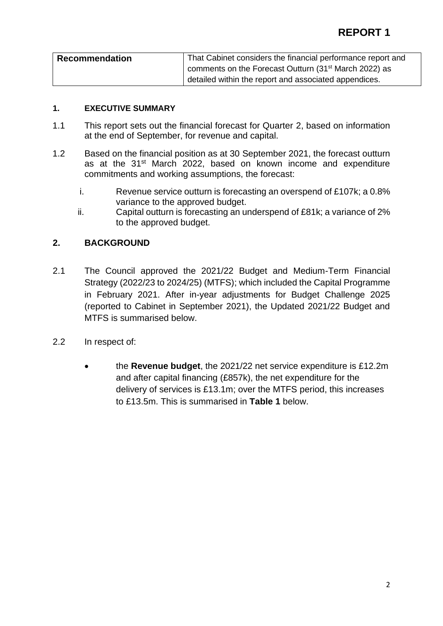| <b>Recommendation</b> | That Cabinet considers the financial performance report and       |
|-----------------------|-------------------------------------------------------------------|
|                       | comments on the Forecast Outturn (31 <sup>st</sup> March 2022) as |
|                       | detailed within the report and associated appendices.             |

#### **1. EXECUTIVE SUMMARY**

- 1.1 This report sets out the financial forecast for Quarter 2, based on information at the end of September, for revenue and capital.
- 1.2 Based on the financial position as at 30 September 2021, the forecast outturn as at the 31<sup>st</sup> March 2022, based on known income and expenditure commitments and working assumptions, the forecast:
	- i. Revenue service outturn is forecasting an overspend of £107k; a 0.8% variance to the approved budget.
	- ii. Capital outturn is forecasting an underspend of £81k; a variance of 2% to the approved budget.

#### **2. BACKGROUND**

- 2.1 The Council approved the 2021/22 Budget and Medium-Term Financial Strategy (2022/23 to 2024/25) (MTFS); which included the Capital Programme in February 2021. After in-year adjustments for Budget Challenge 2025 (reported to Cabinet in September 2021), the Updated 2021/22 Budget and MTFS is summarised below.
- 2.2 In respect of:
	- the **Revenue budget**, the 2021/22 net service expenditure is £12.2m and after capital financing (£857k), the net expenditure for the delivery of services is £13.1m; over the MTFS period, this increases to £13.5m. This is summarised in **Table 1** below.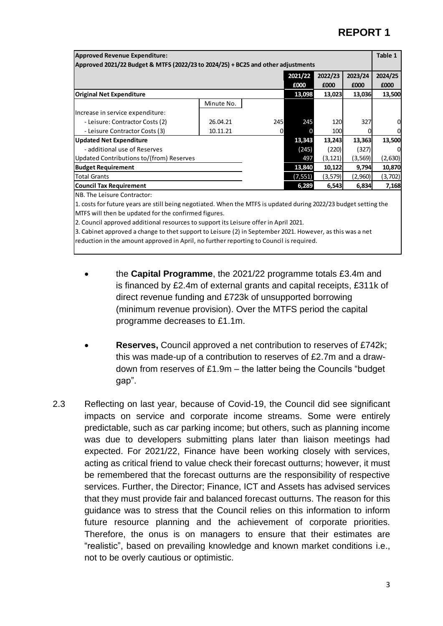| <b>Approved Revenue Expenditure:</b>                                             |            |     |          |          |          |         |  |  |
|----------------------------------------------------------------------------------|------------|-----|----------|----------|----------|---------|--|--|
| Approved 2021/22 Budget & MTFS (2022/23 to 2024/25) + BC25 and other adjustments |            |     |          |          |          |         |  |  |
|                                                                                  |            |     | 2021/22  | 2022/23  | 2023/24  | 2024/25 |  |  |
|                                                                                  |            |     | £000     | £000     | £000     | £000    |  |  |
| <b>Original Net Expenditure</b>                                                  |            |     | 13,098   | 13,023   | 13,036   | 13,500  |  |  |
|                                                                                  | Minute No. |     |          |          |          |         |  |  |
| Increase in service expenditure:                                                 |            |     |          |          |          |         |  |  |
| - Leisure: Contractor Costs (2)                                                  | 26.04.21   | 245 | 245      | 120      | 327      |         |  |  |
| - Leisure Contractor Costs (3)                                                   | 10.11.21   | 0   |          | 100      |          |         |  |  |
| <b>Updated Net Expenditure</b>                                                   |            |     | 13,343   | 13,243   | 13,363   | 13,500  |  |  |
| - additional use of Reserves                                                     |            |     | (245)    | (220)    | (327)    |         |  |  |
| Updated Contributions to/(from) Reserves                                         |            |     | 497      | (3, 121) | (3, 569) | (2,630) |  |  |
| <b>Budget Requirement</b>                                                        |            |     | 13,840   | 10,122   | 9,794    | 10,870  |  |  |
| <b>Total Grants</b>                                                              |            |     | (7, 551) | (3,579)  | (2,960)  | (3,702) |  |  |
| <b>Council Tax Requirement</b>                                                   |            |     | 6,289    | 6,543    | 6,834    | 7,168   |  |  |
|                                                                                  |            |     |          |          |          |         |  |  |

NB. The Leisure Contractor:

1. costs for future years are still being negotiated. When the MTFS is updated during 2022/23 budget setting the MTFS will then be updated for the confirmed figures.

2. Council approved additional resources to support its Leisure offer in April 2021.

3. Cabinet approved a change to thet support to Leisure (2) in September 2021. However, as this was a net reduction in the amount approved in April, no further reporting to Council is required.

- the **Capital Programme**, the 2021/22 programme totals £3.4m and is financed by £2.4m of external grants and capital receipts, £311k of direct revenue funding and £723k of unsupported borrowing (minimum revenue provision). Over the MTFS period the capital programme decreases to £1.1m.
- **Reserves,** Council approved a net contribution to reserves of £742k; this was made-up of a contribution to reserves of £2.7m and a drawdown from reserves of £1.9m – the latter being the Councils "budget gap".
- 2.3 Reflecting on last year, because of Covid-19, the Council did see significant impacts on service and corporate income streams. Some were entirely predictable, such as car parking income; but others, such as planning income was due to developers submitting plans later than liaison meetings had expected. For 2021/22, Finance have been working closely with services, acting as critical friend to value check their forecast outturns; however, it must be remembered that the forecast outturns are the responsibility of respective services. Further, the Director; Finance, ICT and Assets has advised services that they must provide fair and balanced forecast outturns. The reason for this guidance was to stress that the Council relies on this information to inform future resource planning and the achievement of corporate priorities. Therefore, the onus is on managers to ensure that their estimates are "realistic", based on prevailing knowledge and known market conditions i.e., not to be overly cautious or optimistic.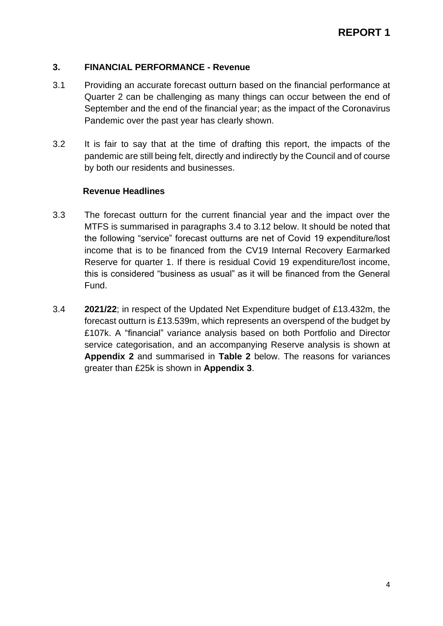#### **3. FINANCIAL PERFORMANCE - Revenue**

- 3.1 Providing an accurate forecast outturn based on the financial performance at Quarter 2 can be challenging as many things can occur between the end of September and the end of the financial year; as the impact of the Coronavirus Pandemic over the past year has clearly shown.
- 3.2 It is fair to say that at the time of drafting this report, the impacts of the pandemic are still being felt, directly and indirectly by the Council and of course by both our residents and businesses.

#### **Revenue Headlines**

- 3.3 The forecast outturn for the current financial year and the impact over the MTFS is summarised in paragraphs 3.4 to 3.12 below. It should be noted that the following "service" forecast outturns are net of Covid 19 expenditure/lost income that is to be financed from the CV19 Internal Recovery Earmarked Reserve for quarter 1. If there is residual Covid 19 expenditure/lost income, this is considered "business as usual" as it will be financed from the General Fund.
- 3.4 **2021/22**; in respect of the Updated Net Expenditure budget of £13.432m, the forecast outturn is £13.539m, which represents an overspend of the budget by £107k. A "financial" variance analysis based on both Portfolio and Director service categorisation, and an accompanying Reserve analysis is shown at **Appendix 2** and summarised in **Table 2** below. The reasons for variances greater than £25k is shown in **Appendix 3**.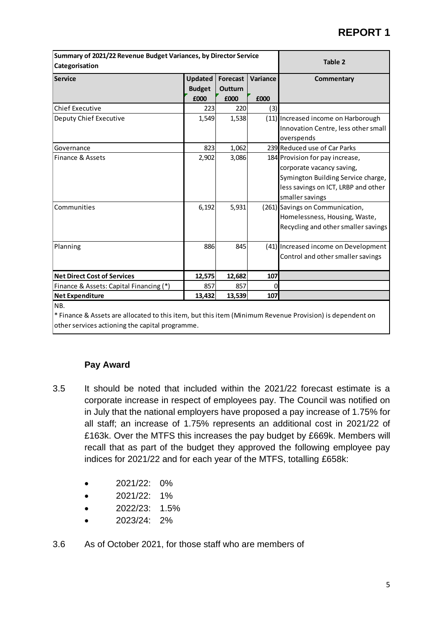| Summary of 2021/22 Revenue Budget Variances, by Director Service<br>Categorisation                        | <b>Table 2</b>                  |                            |          |                                      |
|-----------------------------------------------------------------------------------------------------------|---------------------------------|----------------------------|----------|--------------------------------------|
| Service                                                                                                   | <b>Updated</b><br><b>Budget</b> | <b>Forecast</b><br>Outturn | Variance | Commentary                           |
|                                                                                                           | £000                            | £000                       | £000     |                                      |
| <b>Chief Executive</b>                                                                                    | 223                             | 220                        | (3)      |                                      |
| Deputy Chief Executive                                                                                    | 1,549                           | 1,538                      |          | (11) Increased income on Harborough  |
|                                                                                                           |                                 |                            |          | Innovation Centre, less other small  |
|                                                                                                           |                                 |                            |          | overspends                           |
| Governance                                                                                                | 823                             | 1,062                      |          | 239 Reduced use of Car Parks         |
| Finance & Assets                                                                                          | 2,902                           | 3,086                      |          | 184 Provision for pay increase,      |
|                                                                                                           |                                 |                            |          | corporate vacancy saving,            |
|                                                                                                           |                                 |                            |          | Symington Building Service charge,   |
|                                                                                                           |                                 |                            |          | less savings on ICT, LRBP and other  |
|                                                                                                           |                                 |                            |          | smaller savings                      |
| Communities                                                                                               | 6,192                           | 5,931                      |          | (261) Savings on Communication,      |
|                                                                                                           |                                 |                            |          | Homelessness, Housing, Waste,        |
|                                                                                                           |                                 |                            |          | Recycling and other smaller savings  |
| Planning                                                                                                  | 886                             | 845                        |          | (41) Increased income on Development |
|                                                                                                           |                                 |                            |          | Control and other smaller savings    |
| <b>Net Direct Cost of Services</b>                                                                        | 12,575                          | 12,682                     | 107      |                                      |
| Finance & Assets: Capital Financing (*)                                                                   | 857                             | 857                        |          |                                      |
| <b>Net Expenditure</b>                                                                                    | 13,432                          | 13,539                     | 107      |                                      |
| NB.                                                                                                       |                                 |                            |          |                                      |
| * Einance 8, Accets are allocated to this item, but this item (Minimum Revenue Brovisian) is dependent on |                                 |                            |          |                                      |

Finance & Assets are allocated to this item, but this item (Minimum Revenue Provision) is dependent on other services actioning the capital programme.

#### **Pay Award**

- 3.5 It should be noted that included within the 2021/22 forecast estimate is a corporate increase in respect of employees pay. The Council was notified on in July that the national employers have proposed a pay increase of 1.75% for all staff; an increase of 1.75% represents an additional cost in 2021/22 of £163k. Over the MTFS this increases the pay budget by £669k. Members will recall that as part of the budget they approved the following employee pay indices for 2021/22 and for each year of the MTFS, totalling £658k:
	- 2021/22: 0%
	- 2021/22: 1%
	- 2022/23: 1.5%
	- 2023/24: 2%
- 3.6 As of October 2021, for those staff who are members of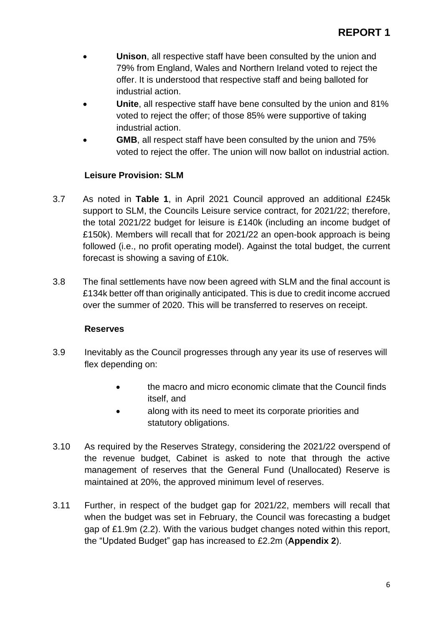- **Unison**, all respective staff have been consulted by the union and 79% from England, Wales and Northern Ireland voted to reject the offer. It is understood that respective staff and being balloted for industrial action.
- **Unite**, all respective staff have bene consulted by the union and 81% voted to reject the offer; of those 85% were supportive of taking industrial action.
- **GMB**, all respect staff have been consulted by the union and 75% voted to reject the offer. The union will now ballot on industrial action.

#### **Leisure Provision: SLM**

- 3.7 As noted in **Table 1**, in April 2021 Council approved an additional £245k support to SLM, the Councils Leisure service contract, for 2021/22; therefore, the total 2021/22 budget for leisure is £140k (including an income budget of £150k). Members will recall that for 2021/22 an open-book approach is being followed (i.e., no profit operating model). Against the total budget, the current forecast is showing a saving of £10k.
- 3.8 The final settlements have now been agreed with SLM and the final account is £134k better off than originally anticipated. This is due to credit income accrued over the summer of 2020. This will be transferred to reserves on receipt.

#### **Reserves**

- 3.9 Inevitably as the Council progresses through any year its use of reserves will flex depending on:
	- the macro and micro economic climate that the Council finds itself, and
	- along with its need to meet its corporate priorities and statutory obligations.
- 3.10 As required by the Reserves Strategy, considering the 2021/22 overspend of the revenue budget, Cabinet is asked to note that through the active management of reserves that the General Fund (Unallocated) Reserve is maintained at 20%, the approved minimum level of reserves.
- 3.11 Further, in respect of the budget gap for 2021/22, members will recall that when the budget was set in February, the Council was forecasting a budget gap of £1.9m (2.2). With the various budget changes noted within this report, the "Updated Budget" gap has increased to £2.2m (**Appendix 2**).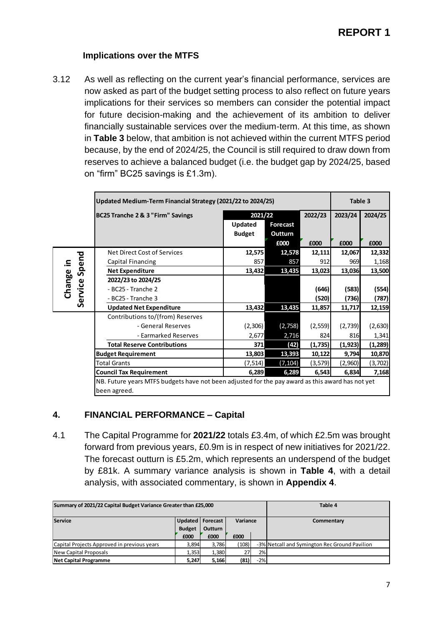#### **Implications over the MTFS**

3.12 As well as reflecting on the current year's financial performance, services are now asked as part of the budget setting process to also reflect on future years implications for their services so members can consider the potential impact for future decision-making and the achievement of its ambition to deliver financially sustainable services over the medium-term. At this time, as shown in **Table 3** below, that ambition is not achieved within the current MTFS period because, by the end of 2024/25, the Council is still required to draw down from reserves to achieve a balanced budget (i.e. the budget gap by 2024/25, based on "firm" BC25 savings is £1.3m).

|         | Updated Medium-Term Financial Strategy (2021/22 to 2024/25)                                      | Table 3       |          |          |          |          |
|---------|--------------------------------------------------------------------------------------------------|---------------|----------|----------|----------|----------|
|         | BC25 Tranche 2 & 3 "Firm" Savings                                                                | 2021/22       | 2023/24  | 2024/25  |          |          |
|         |                                                                                                  | Updated       | Forecast |          |          |          |
|         |                                                                                                  | <b>Budget</b> | Outturn  |          |          |          |
|         |                                                                                                  |               | £000     | £000     | £000     | £000     |
|         | Net Direct Cost of Services                                                                      | 12,575        | 12,578   | 12,111   | 12,067   | 12,332   |
| 크.      | Capital Financing                                                                                | 857           | 857      | 912      | 969      | 1,168    |
| Spend   | <b>Net Expenditure</b>                                                                           | 13,432        | 13,435   | 13,023   | 13,036   | 13,500   |
| Change  | 2022/23 to 2024/25                                                                               |               |          |          |          |          |
|         | - BC25 - Tranche 2                                                                               |               |          | (646)    | (583)    | (554)    |
| Service | - BC25 - Tranche 3                                                                               |               |          | (520)    | (736)    | (787)    |
|         | <b>Updated Net Expenditure</b>                                                                   | 13,432        | 13,435   | 11,857   | 11,717   | 12,159   |
|         | Contributions to/(from) Reserves                                                                 |               |          |          |          |          |
|         | - General Reserves                                                                               | (2,306)       | (2,758)  | (2, 559) | (2,739)  | (2,630)  |
|         | - Earmarked Reserves                                                                             | 2,677         | 2,716    | 824      | 816      | 1,341    |
|         | <b>Total Reserve Contributions</b>                                                               |               | (42)     | (1,735)  | (1, 923) | (1, 289) |
|         | <b>Budget Requirement</b>                                                                        |               | 13,393   | 10,122   | 9,794    | 10,870   |
|         | <b>Total Grants</b>                                                                              |               | (7, 104) | (3,579)  | (2,960)  | (3, 702) |
|         | <b>Council Tax Requirement</b>                                                                   | 6,289         | 6,289    | 6,543    | 6,834    | 7,168    |
|         | NB. Future years MTFS budgets have not been adjusted for the pay award as this award has not yet |               |          |          |          |          |
|         | been agreed.                                                                                     |               |          |          |          |          |

#### **4. FINANCIAL PERFORMANCE – Capital**

4.1 The Capital Programme for **2021/22** totals £3.4m, of which £2.5m was brought forward from previous years, £0.9m is in respect of new initiatives for 2021/22. The forecast outturn is £5.2m, which represents an underspend of the budget by £81k. A summary variance analysis is shown in **Table 4**, with a detail analysis, with associated commentary, is shown in **Appendix 4**.

| Summary of 2021/22 Capital Budget Variance Greater than £25,000 | Table 4                             |         |          |       |                                               |  |  |  |  |  |  |  |            |
|-----------------------------------------------------------------|-------------------------------------|---------|----------|-------|-----------------------------------------------|--|--|--|--|--|--|--|------------|
| <b>Service</b>                                                  | Updated   Forecast<br><b>Budget</b> | Outturn | Variance |       |                                               |  |  |  |  |  |  |  | Commentary |
|                                                                 | £000                                | £000    | £000     |       |                                               |  |  |  |  |  |  |  |            |
| Capital Projects Approved in previous years                     | 3,894                               | 3,786   | (108)    |       | -3% Netcall and Symington Rec Ground Pavilion |  |  |  |  |  |  |  |            |
| New Capital Proposals                                           | 1,353                               | 1,380   |          | 2%    |                                               |  |  |  |  |  |  |  |            |
| <b>Net Capital Programme</b>                                    | 5,247                               | 5,166   | (81)     | $-2%$ |                                               |  |  |  |  |  |  |  |            |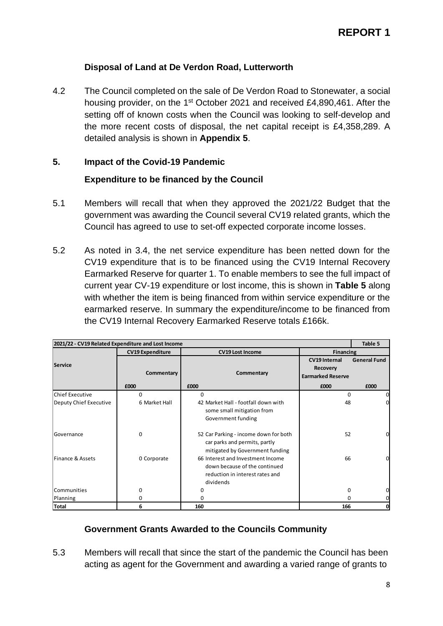#### **Disposal of Land at De Verdon Road, Lutterworth**

4.2 The Council completed on the sale of De Verdon Road to Stonewater, a social housing provider, on the 1<sup>st</sup> October 2021 and received £4,890,461. After the setting off of known costs when the Council was looking to self-develop and the more recent costs of disposal, the net capital receipt is £4,358,289. A detailed analysis is shown in **Appendix 5**.

#### **5. Impact of the Covid-19 Pandemic**

#### **Expenditure to be financed by the Council**

- 5.1 Members will recall that when they approved the 2021/22 Budget that the government was awarding the Council several CV19 related grants, which the Council has agreed to use to set-off expected corporate income losses.
- 5.2 As noted in 3.4, the net service expenditure has been netted down for the CV19 expenditure that is to be financed using the CV19 Internal Recovery Earmarked Reserve for quarter 1. To enable members to see the full impact of current year CV-19 expenditure or lost income, this is shown in **Table 5** along with whether the item is being financed from within service expenditure or the earmarked reserve. In summary the expenditure/income to be financed from the CV19 Internal Recovery Earmarked Reserve totals £166k.

| 2021/22 - CV19 Related Expenditure and Lost Income |                         |                                                                                                                    |                                                              | Table 5             |
|----------------------------------------------------|-------------------------|--------------------------------------------------------------------------------------------------------------------|--------------------------------------------------------------|---------------------|
|                                                    | <b>CV19 Expenditure</b> | <b>CV19 Lost Income</b>                                                                                            | <b>Financing</b>                                             |                     |
| <b>Service</b>                                     | Commentary              | Commentary                                                                                                         | <b>CV19 Internal</b><br>Recovery<br><b>Earmarked Reserve</b> | <b>General Fund</b> |
|                                                    | £000                    | £000                                                                                                               | £000                                                         | £000                |
| <b>Chief Executive</b>                             | <sup>0</sup>            | 0                                                                                                                  | 0                                                            | 0                   |
| Deputy Chief Executive                             | 6 Market Hall           | 42 Market Hall - footfall down with<br>some small mitigation from<br>Government funding                            | 48                                                           | 0                   |
| Governance                                         | 0                       | 52 Car Parking - income down for both<br>car parks and permits, partly<br>mitigated by Government funding          | 52                                                           | 0                   |
| Finance & Assets                                   | 0 Corporate             | 66 Interest and Investment Income<br>down because of the continued<br>reduction in interest rates and<br>dividends | 66                                                           |                     |
| Communities                                        | O                       | O                                                                                                                  | 0                                                            | 0                   |
| Planning                                           | 0                       | O                                                                                                                  | <sup>0</sup>                                                 | 0                   |
| <b>Total</b>                                       | 6                       | 160                                                                                                                | 166                                                          | $\mathbf 0$         |

#### **Government Grants Awarded to the Councils Community**

5.3 Members will recall that since the start of the pandemic the Council has been acting as agent for the Government and awarding a varied range of grants to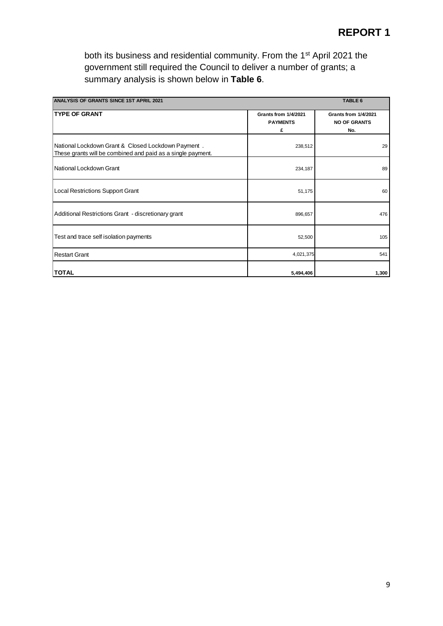both its business and residential community. From the 1<sup>st</sup> April 2021 the government still required the Council to deliver a number of grants; a summary analysis is shown below in **Table 6**.

| <b>ANALYSIS OF GRANTS SINCE 1ST APRIL 2021</b>                                                                    |                                              | <b>TABLE 6</b>                                            |
|-------------------------------------------------------------------------------------------------------------------|----------------------------------------------|-----------------------------------------------------------|
| <b>TYPE OF GRANT</b>                                                                                              | Grants from 1/4/2021<br><b>PAYMENTS</b><br>£ | <b>Grants from 1/4/2021</b><br><b>NO OF GRANTS</b><br>No. |
| National Lockdown Grant & Closed Lockdown Payment.<br>These grants will be combined and paid as a single payment. | 238,512                                      | 29                                                        |
| National Lockdown Grant                                                                                           | 234,187                                      | 89                                                        |
| <b>Local Restrictions Support Grant</b>                                                                           | 51,175                                       | 60                                                        |
| Additional Restrictions Grant - discretionary grant                                                               | 896,657                                      | 476                                                       |
| Test and trace self isolation payments                                                                            | 52,500                                       | 105                                                       |
| <b>Restart Grant</b>                                                                                              | 4,021,375                                    | 541                                                       |
| <b>TOTAL</b>                                                                                                      | 5,494,406                                    | 1,300                                                     |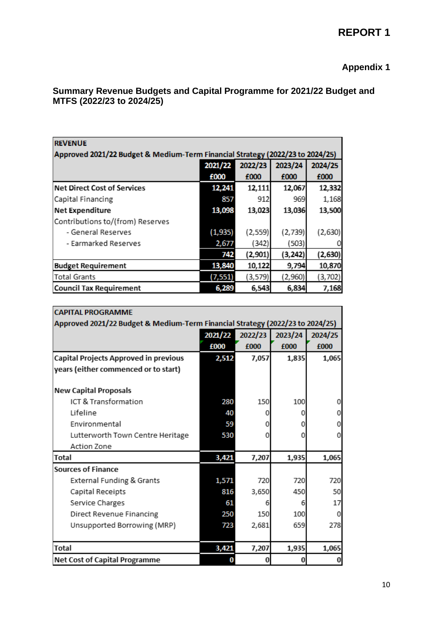### **Appendix 1**

#### **Summary Revenue Budgets and Capital Programme for 2021/22 Budget and MTFS (2022/23 to 2024/25)**

| <b>REVENUE</b>                                                                |          |          |          |         |  |  |  |  |  |  |  |
|-------------------------------------------------------------------------------|----------|----------|----------|---------|--|--|--|--|--|--|--|
| Approved 2021/22 Budget & Medium-Term Financial Strategy (2022/23 to 2024/25) |          |          |          |         |  |  |  |  |  |  |  |
|                                                                               | 2021/22  | 2022/23  | 2023/24  | 2024/25 |  |  |  |  |  |  |  |
|                                                                               | £000     | £000     | £000     | £000    |  |  |  |  |  |  |  |
| <b>Net Direct Cost of Services</b>                                            | 12,241   | 12,111   | 12,067   | 12,332  |  |  |  |  |  |  |  |
| Capital Financing                                                             | 857      | 912      | 969      | 1,168   |  |  |  |  |  |  |  |
| <b>Net Expenditure</b>                                                        | 13,098   | 13,023   | 13,036   | 13,500  |  |  |  |  |  |  |  |
| Contributions to/(from) Reserves                                              |          |          |          |         |  |  |  |  |  |  |  |
| - General Reserves                                                            | (1,935)  | (2, 559) | (2,739)  | (2,630) |  |  |  |  |  |  |  |
| - Earmarked Reserves                                                          | 2,677    | (342)    | (503)    |         |  |  |  |  |  |  |  |
|                                                                               | 742      | (2,901)  | (3, 242) | (2,630) |  |  |  |  |  |  |  |
| <b>Budget Requirement</b>                                                     | 13,840   | 10,122   | 9,794    | 10,870  |  |  |  |  |  |  |  |
| <b>Total Grants</b>                                                           | (7, 551) | (3,579)  | (2,960)  | (3,702) |  |  |  |  |  |  |  |
| <b>Council Tax Requirement</b>                                                | 6,289    | 6,543    | 6,834    | 7,168   |  |  |  |  |  |  |  |

| <b>CAPITAL PROGRAMME</b>              |                                                                               |         |         |         |  |  |  |  |  |  |  |
|---------------------------------------|-------------------------------------------------------------------------------|---------|---------|---------|--|--|--|--|--|--|--|
|                                       | Approved 2021/22 Budget & Medium-Term Financial Strategy (2022/23 to 2024/25) |         |         |         |  |  |  |  |  |  |  |
|                                       | 2021/22                                                                       | 2022/23 | 2023/24 | 2024/25 |  |  |  |  |  |  |  |
|                                       | £000                                                                          | £000    | £000    | £000    |  |  |  |  |  |  |  |
| Capital Projects Approved in previous | 2,512                                                                         | 7,057   | 1,835   | 1,065   |  |  |  |  |  |  |  |
| years (either commenced or to start)  |                                                                               |         |         |         |  |  |  |  |  |  |  |
|                                       |                                                                               |         |         |         |  |  |  |  |  |  |  |
| <b>New Capital Proposals</b>          |                                                                               |         |         |         |  |  |  |  |  |  |  |
| ICT & Transformation                  | 280                                                                           | 150     | 100     |         |  |  |  |  |  |  |  |
| Lifeline                              | 40                                                                            | O       | Ω       |         |  |  |  |  |  |  |  |
| Environmental                         | 59                                                                            | O       | 0       |         |  |  |  |  |  |  |  |
| Lutterworth Town Centre Heritage      | 530                                                                           | Ω       | 0       |         |  |  |  |  |  |  |  |
| Action Zone                           |                                                                               |         |         |         |  |  |  |  |  |  |  |
| Total                                 | 3,421                                                                         | 7,207   | 1,935   | 1,065   |  |  |  |  |  |  |  |
| <b>Sources of Finance</b>             |                                                                               |         |         |         |  |  |  |  |  |  |  |
| External Funding & Grants             | 1,571                                                                         | 720     | 720     | 720     |  |  |  |  |  |  |  |
| Capital Receipts                      | 816                                                                           | 3,650   | 450     | 50      |  |  |  |  |  |  |  |
| Service Charges                       | 61                                                                            | 6       | 6       | 17      |  |  |  |  |  |  |  |
| Direct Revenue Financing              | 250                                                                           | 150     | 100     | 0       |  |  |  |  |  |  |  |
| Unsupported Borrowing (MRP)           | 723                                                                           | 2,681   | 659     | 278     |  |  |  |  |  |  |  |
|                                       |                                                                               |         |         |         |  |  |  |  |  |  |  |
| <b>Total</b>                          | 3,421                                                                         | 7,207   | 1,935   | 1,065   |  |  |  |  |  |  |  |
| <b>Net Cost of Capital Programme</b>  |                                                                               |         |         |         |  |  |  |  |  |  |  |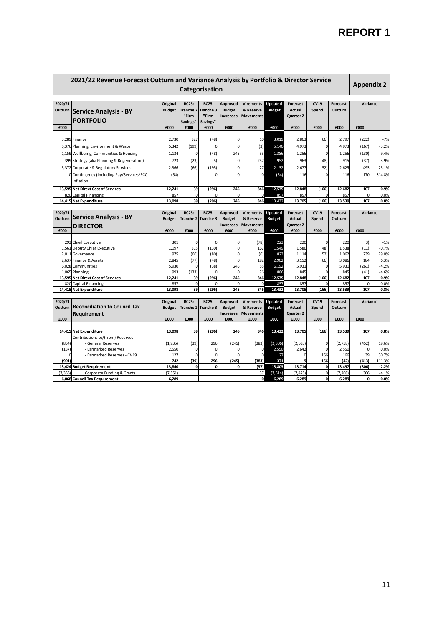| 2021/22 Revenue Forecast Outturn and Variance Analysis by Portfolio & Director Service<br>Categorisation |                                                             |                           |                                                       |                                    |                                                      |                                                   |                          |                                                          |                  | <b>Appendix 2</b>          |                    |                 |
|----------------------------------------------------------------------------------------------------------|-------------------------------------------------------------|---------------------------|-------------------------------------------------------|------------------------------------|------------------------------------------------------|---------------------------------------------------|--------------------------|----------------------------------------------------------|------------------|----------------------------|--------------------|-----------------|
| 2020/21<br>Outturn                                                                                       | <b>Service Analysis - BY</b><br><b>PORTFOLIO</b>            | Original<br><b>Budget</b> | <b>BC25:</b><br><b>Tranche 2</b><br>"Firm<br>Savings" | <b>BC25:</b><br>Tranche 3<br>"Firm | <b>Approved</b><br><b>Budget</b><br><b>Increases</b> | <b>Virements</b><br>& Reserve<br><b>Movements</b> | Updated<br><b>Budget</b> | <b>Forecast</b><br><b>Actual</b><br>Quarter <sub>2</sub> | CV19<br>Spend    | <b>Forecast</b><br>Outturn | Variance           |                 |
| £000                                                                                                     |                                                             | £000                      | £000                                                  | Savings"<br>£000                   | £000                                                 | £000                                              | £000                     | £000                                                     | £000             | £000                       | £000               |                 |
|                                                                                                          |                                                             |                           |                                                       |                                    |                                                      |                                                   |                          |                                                          |                  |                            |                    |                 |
|                                                                                                          | 3,289 Finance                                               | 2,730                     | 327                                                   | (48)                               | 0                                                    | 10                                                | 3,019                    | 2,863                                                    | (66)             | 2,797                      | (222)              | $-7%$           |
|                                                                                                          | 5,376 Planning, Environment & Waste                         | 5,342                     | (199)                                                 | 0                                  | 0                                                    | (3)                                               | 5,140                    | 4,973                                                    | $\Omega$         | 4,973                      | (167)              | $-3.2%$         |
|                                                                                                          | 1,159 Wellbeing, Communities & Housing                      | 1,134                     | 0                                                     | (48)                               | 245                                                  | 55                                                | 1,386                    | 1,256                                                    | 0                | 1,256                      | (130)              | $-9.4%$         |
|                                                                                                          | 399 Strategy (aka Planning & Regeneration)                  | 723                       | (23)                                                  | (5)                                | 0                                                    | 257                                               | 952                      | 963                                                      | (48)             | 915                        | (37)               | $-3.9%$         |
|                                                                                                          | 3,372 Corporate & Regulatory Services                       | 2,366                     | (66)                                                  | (195)                              | $\Omega$                                             | 27                                                | 2,132                    | 2,677                                                    | (52)             | 2,625                      | 493                | 23.1%           |
|                                                                                                          | 0 Contingency (including Pay/Services/FCC                   | (54)                      |                                                       | $\Omega$                           | O                                                    | $\mathbf 0$                                       | (54)                     | 116                                                      |                  | 116                        | 170                | $-314.8%$       |
|                                                                                                          | Inflation)                                                  |                           |                                                       |                                    |                                                      |                                                   |                          |                                                          |                  |                            |                    |                 |
|                                                                                                          | 13,595 Net Direct Cost of Services                          | 12,241                    | 39                                                    | (296)                              | 245                                                  | 346                                               | 12,575                   | 12.848                                                   | (166)            | 12,682                     | 107                | 0.9%            |
|                                                                                                          | 820 Capital Financing                                       | 857                       | $\Omega$                                              | $\Omega$                           | $\Omega$                                             | $\Omega$                                          | 857                      | 857                                                      | $\Omega$         | 857                        | $\Omega$           | 0.0%            |
|                                                                                                          | 14,415 Net Expenditure                                      | 13.098                    | 39                                                    | (296)                              | 245                                                  | 346                                               | 13,432                   | 13.705                                                   | (166)            | 13.539                     | 107                | 0.8%            |
|                                                                                                          |                                                             |                           |                                                       |                                    |                                                      |                                                   |                          |                                                          |                  |                            |                    |                 |
| 2020/21                                                                                                  | <b>Service Analysis - BY</b>                                | Original                  | <b>BC25:</b>                                          | <b>BC25:</b>                       | <b>Approved</b>                                      | <b>Virements</b>                                  | Updated                  | <b>Forecast</b>                                          | <b>CV19</b>      | <b>Forecast</b>            | Variance           |                 |
| Outturn                                                                                                  |                                                             | <b>Budget</b>             | Tranche 2                                             | <b>Tranche 3</b>                   | <b>Budget</b>                                        | & Reserve                                         | <b>Budget</b>            | <b>Actual</b>                                            | Spend            | Outturn                    |                    |                 |
| £000                                                                                                     | <b>DIRECTOR</b>                                             | £000                      | £000                                                  | £000                               | <b>Increases</b><br>£000                             | <b>Movements</b><br>£000                          | £000                     | Quarter <sub>2</sub><br>£000                             | £000             | £000                       | £000               |                 |
|                                                                                                          |                                                             |                           |                                                       |                                    |                                                      |                                                   |                          |                                                          |                  |                            |                    |                 |
|                                                                                                          | 293 Chief Executive                                         | 301                       | $\Omega$                                              | $\Omega$                           | $\Omega$                                             | (78)                                              | 223                      | 220                                                      | $\Omega$         | 220                        | (3)                | $-1%$           |
|                                                                                                          | 1,561 Deputy Chief Executive                                | 1,197                     | 315                                                   | (130)                              | $\Omega$                                             | 167                                               | 1,549                    | 1,586                                                    | (48)             | 1,538                      | (11)               | $-0.7%$         |
|                                                                                                          | 2,011 Governance                                            | 975                       | (66)                                                  | (80)                               | 0                                                    | (6)                                               | 823                      | 1,114                                                    | (52)             | 1,062                      | 239                | 29.0%           |
|                                                                                                          | 2,637 Finance & Assets                                      | 2,845                     | (77)                                                  | (48)                               | 0                                                    | 182                                               | 2,902                    | 3,152                                                    | (66)             | 3,086                      | 184                | 6.3%            |
|                                                                                                          | 6,028 Communities                                           | 5,930                     |                                                       | (38)                               | 245                                                  | 55                                                | 6,192                    | 5,931                                                    | $\Omega$         | 5,931                      | (261)              | $-4.2%$         |
|                                                                                                          | 1,065 Planning                                              | 993                       | (133)<br>39                                           | 0                                  | $\Omega$                                             | 26                                                | 886<br>12,575            | 845                                                      |                  | 845                        | (41)<br>107        | $-4.6%$         |
|                                                                                                          | 13,595 Net Direct Cost of Services<br>820 Capital Financing | 12,241<br>857             | $\Omega$                                              | (296)<br>$\mathbf 0$               | 245<br>$\mathbf 0$                                   | 346<br>$\Omega$                                   | 857                      | 12,848<br>857                                            | (166)            | 12,682<br>857              | $\Omega$           | 0.9%<br>0.0%    |
|                                                                                                          | 14,415 Net Expenditure                                      | 13,098                    | 39                                                    | (296)                              | 245                                                  | 346                                               | 13,432                   | 13,705                                                   | (166)            | 13,539                     | 107                | 0.8%            |
|                                                                                                          |                                                             |                           |                                                       |                                    |                                                      |                                                   |                          |                                                          |                  |                            |                    |                 |
| 2020/21                                                                                                  |                                                             | Original                  | <b>BC25:</b>                                          | <b>BC25:</b>                       | <b>Approved</b>                                      | <b>Virements</b>                                  | Updated                  | Forecast                                                 | CV19             | <b>Forecast</b>            | Variance           |                 |
| Outturn                                                                                                  | <b>Reconciliation to Council Tax</b>                        | <b>Budget</b>             |                                                       | Tranche 2 Tranche 3                | <b>Budget</b>                                        | & Reserve                                         | <b>Budget</b>            | <b>Actual</b>                                            | Spend            | Outturn                    |                    |                 |
|                                                                                                          | Requirement                                                 |                           |                                                       |                                    | <b>Increases</b>                                     | <b>Movements</b>                                  |                          | Quarter <sub>2</sub>                                     |                  |                            |                    |                 |
| £000                                                                                                     |                                                             | £000                      | £000                                                  | £000                               | £000                                                 | £000                                              | £000                     | £000                                                     | £000             | £000                       | £000               |                 |
|                                                                                                          | 14,415 Net Expenditure                                      | 13,098                    | 39                                                    | (296)                              | 245                                                  | 346                                               | 13,432                   | 13,705                                                   | (166)            | 13,539                     | 107                | 0.8%            |
| (854)                                                                                                    | Contributions to/(from) Reserves<br>- General Reserves      | (1,935)                   | (39)                                                  | 296                                | (245)                                                | (383)                                             | (2, 306)                 | (2,633)                                                  | $\Omega$         | (2,758)                    | (452)              | 19.6%           |
| (137)                                                                                                    | - Earmarked Reserves                                        | 2,550                     | ŋ                                                     | 0                                  | n                                                    | $\mathbf 0$                                       | 2,550                    | 2,642                                                    | 0                | 2,550                      | $\Omega$           | 0.0%            |
|                                                                                                          | - Earmarked Reserves - CV19                                 | 127                       |                                                       | $\mathbf 0$                        | O                                                    | $\mathbf 0$                                       | 127                      |                                                          | 166              | 166                        | 39                 | 30.7%           |
| (991)                                                                                                    |                                                             | 742                       | (39)                                                  | 296                                | (245)                                                | (383)                                             | 371                      |                                                          | 166              | (42)                       | (413)              | $-111.3%$       |
|                                                                                                          |                                                             |                           |                                                       |                                    |                                                      |                                                   |                          |                                                          |                  |                            |                    |                 |
|                                                                                                          | 13,424 Budget Requirement                                   | 13,840                    | 0                                                     | 0                                  | O                                                    | (37)                                              | 13,803                   | 13,714                                                   | O                | 13,497                     | (306)              | $-2.2%$         |
| (7, 356)                                                                                                 | Corporate Funding & Grants<br>6,068 Council Tax Requirement | (7, 551)<br>6,289         |                                                       |                                    |                                                      | 37<br>o                                           | (7, 514)<br>6,289        | (7, 425)<br>6,289                                        | $\mathbf 0$<br>o | (7, 208)<br>6,289          | 306<br>$\mathbf 0$ | $-4.1%$<br>0.0% |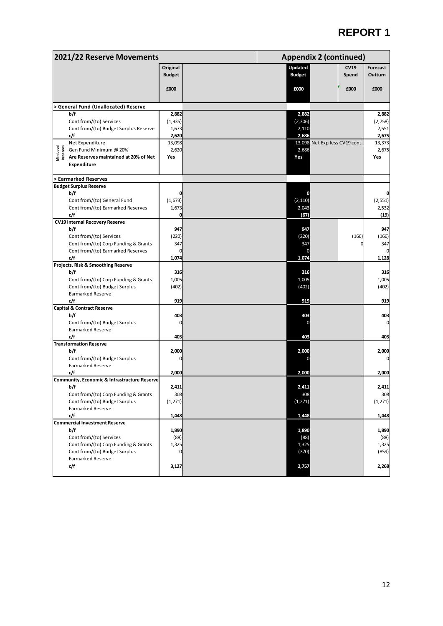| 2021/22 Reserve Movements                                      |               |                   | <b>Appendix 2 (continued)</b> |                  |  |  |  |  |  |
|----------------------------------------------------------------|---------------|-------------------|-------------------------------|------------------|--|--|--|--|--|
|                                                                | Original      | Updated           | <b>CV19</b>                   | Forecast         |  |  |  |  |  |
|                                                                | <b>Budget</b> | <b>Budget</b>     | Spend                         | Outturn          |  |  |  |  |  |
|                                                                |               |                   |                               |                  |  |  |  |  |  |
|                                                                | £000          | £000              | £000                          | £000             |  |  |  |  |  |
|                                                                |               |                   |                               |                  |  |  |  |  |  |
| <b>General Fund (Unallocated) Reserve</b><br>b/f               | 2,882         |                   |                               |                  |  |  |  |  |  |
| Cont from/(to) Services                                        | (1,935)       | 2,882<br>(2, 306) |                               | 2,882<br>(2,758) |  |  |  |  |  |
| Cont from/(to) Budget Surplus Reserve                          | 1,673         | 2,110             |                               | 2,551            |  |  |  |  |  |
| c/f                                                            | 2,620         | 2,686             |                               | 2,675            |  |  |  |  |  |
| Net Expenditure                                                | 13,098        |                   | 13,098 Net Expless CV19 cont. | 13,373           |  |  |  |  |  |
| Min Level<br>Reserves<br>Gen Fund Minimum @ 20%                | 2,620         | 2,686             |                               | 2,675            |  |  |  |  |  |
| Are Reserves maintained at 20% of Net                          | Yes           | Yes               |                               | Yes              |  |  |  |  |  |
| <b>Expenditure</b>                                             |               |                   |                               |                  |  |  |  |  |  |
| > Earmarked Reserves                                           |               |                   |                               |                  |  |  |  |  |  |
| <b>Budget Surplus Reserve</b>                                  |               |                   |                               |                  |  |  |  |  |  |
| b/f                                                            |               |                   |                               |                  |  |  |  |  |  |
| Cont from/(to) General Fund                                    | (1,673)       | (2, 110)          |                               | (2, 551)         |  |  |  |  |  |
| Cont from/(to) Earmarked Reserves                              | 1,673         | 2,043             |                               | 2,532            |  |  |  |  |  |
| c/f                                                            | 0             | (67)              |                               | (19)             |  |  |  |  |  |
| <b>CV19 Internal Recovery Reserve</b>                          |               | 947               |                               |                  |  |  |  |  |  |
| b/f<br>Cont from/(to) Services                                 | 947<br>(220)  | (220)             | (166)                         | 947<br>(166)     |  |  |  |  |  |
| Cont from/(to) Corp Funding & Grants                           | 347           | 347               |                               | 347              |  |  |  |  |  |
| Cont from/(to) Earmarked Reserves                              | 0             |                   |                               |                  |  |  |  |  |  |
| c/f                                                            | 1,074         | 1,074             |                               | 1,128            |  |  |  |  |  |
| Projects, Risk & Smoothing Reserve                             |               |                   |                               |                  |  |  |  |  |  |
| b/f                                                            | 316           | 316               |                               | 316              |  |  |  |  |  |
| Cont from/(to) Corp Funding & Grants                           | 1,005         | 1,005             |                               | 1,005            |  |  |  |  |  |
| Cont from/(to) Budget Surplus                                  | (402)         | (402)             |                               | (402)            |  |  |  |  |  |
| <b>Earmarked Reserve</b>                                       |               |                   |                               |                  |  |  |  |  |  |
| c/f                                                            | 919           | 919               |                               | 919              |  |  |  |  |  |
| <b>Capital &amp; Contract Reserve</b><br>b/f                   | 403           | 403               |                               | 403              |  |  |  |  |  |
| Cont from/(to) Budget Surplus                                  | 0             |                   |                               | 0                |  |  |  |  |  |
| <b>Earmarked Reserve</b>                                       |               |                   |                               |                  |  |  |  |  |  |
| c/f                                                            | 403           | 403               |                               | 403              |  |  |  |  |  |
| <b>Transformation Reserve</b>                                  |               |                   |                               |                  |  |  |  |  |  |
| b/f                                                            | 2,000         | 2,000             |                               | 2,000            |  |  |  |  |  |
| Cont from/(to) Budget Surplus                                  |               |                   |                               |                  |  |  |  |  |  |
| <b>Earmarked Reserve</b>                                       |               |                   |                               |                  |  |  |  |  |  |
| c/f                                                            | 2,000         | 2,000             |                               | 2,000            |  |  |  |  |  |
| <b>Community, Economic &amp; Infrastructure Reserve</b><br>b/f | 2,411         | 2,411             |                               | 2,411            |  |  |  |  |  |
| Cont from/(to) Corp Funding & Grants                           | 308           | 308               |                               | 308              |  |  |  |  |  |
| Cont from/(to) Budget Surplus                                  | (1, 271)      | (1, 271)          |                               | (1, 271)         |  |  |  |  |  |
| <b>Earmarked Reserve</b>                                       |               |                   |                               |                  |  |  |  |  |  |
| c/f                                                            | 1,448         | 1,448             |                               | 1,448            |  |  |  |  |  |
| <b>Commercial Investment Reserve</b>                           |               |                   |                               |                  |  |  |  |  |  |
| b/f                                                            | 1,890         | 1,890             |                               | 1,890            |  |  |  |  |  |
| Cont from/(to) Services                                        | (88)          | (88)              |                               | (88)             |  |  |  |  |  |
| Cont from/(to) Corp Funding & Grants                           | 1,325         | 1,325             |                               | 1,325            |  |  |  |  |  |
| Cont from/(to) Budget Surplus                                  | 0             | (370)             |                               | (859)            |  |  |  |  |  |
| <b>Earmarked Reserve</b><br>c/f                                | 3,127         | 2,757             |                               | 2,268            |  |  |  |  |  |
|                                                                |               |                   |                               |                  |  |  |  |  |  |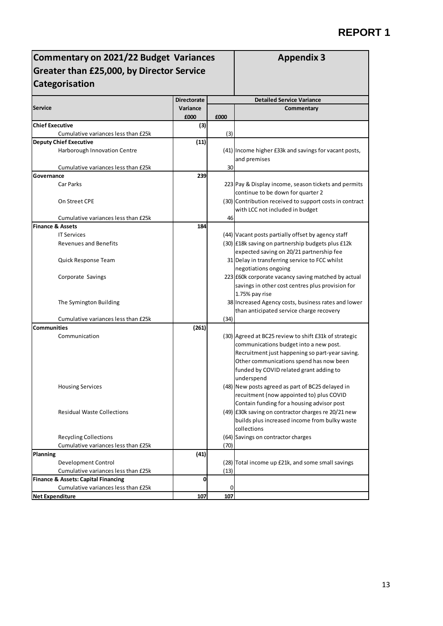| Commentary on 2021/22 Budget Variances<br>Greater than £25,000, by Director Service | <b>Appendix 3</b>  |      |                                                                       |  |  |  |  |
|-------------------------------------------------------------------------------------|--------------------|------|-----------------------------------------------------------------------|--|--|--|--|
| Categorisation                                                                      |                    |      |                                                                       |  |  |  |  |
|                                                                                     | <b>Directorate</b> |      | <b>Detailed Service Variance</b>                                      |  |  |  |  |
| <b>Service</b>                                                                      | Variance<br>£000   | £000 | Commentary                                                            |  |  |  |  |
| <b>Chief Executive</b>                                                              | (3)                |      |                                                                       |  |  |  |  |
| Cumulative variances less than £25k                                                 |                    | (3)  |                                                                       |  |  |  |  |
| <b>Deputy Chief Executive</b>                                                       | (11)               |      |                                                                       |  |  |  |  |
| Harborough Innovation Centre                                                        |                    |      | (41) Income higher £33k and savings for vacant posts,<br>and premises |  |  |  |  |
| Cumulative variances less than £25k                                                 |                    | 30   |                                                                       |  |  |  |  |
| Governance                                                                          | 239                |      |                                                                       |  |  |  |  |
| Car Parks                                                                           |                    |      | 223 Pay & Display income, season tickets and permits                  |  |  |  |  |
|                                                                                     |                    |      | continue to be down for quarter 2                                     |  |  |  |  |
| On Street CPE                                                                       |                    |      | (30) Contribution received to support costs in contract               |  |  |  |  |
|                                                                                     |                    |      | with LCC not included in budget                                       |  |  |  |  |
| Cumulative variances less than £25k                                                 |                    | 46   |                                                                       |  |  |  |  |
| <b>Finance &amp; Assets</b>                                                         | 184                |      |                                                                       |  |  |  |  |
| <b>IT Services</b>                                                                  |                    |      | (44) Vacant posts partially offset by agency staff                    |  |  |  |  |
| <b>Revenues and Benefits</b>                                                        |                    |      | (30) E18k saving on partnership budgets plus £12k                     |  |  |  |  |
|                                                                                     |                    |      | expected saving on 20/21 partnership fee                              |  |  |  |  |
| Quick Response Team                                                                 |                    |      | 31 Delay in transferring service to FCC whilst                        |  |  |  |  |
|                                                                                     |                    |      | negotiations ongoing                                                  |  |  |  |  |
| Corporate Savings                                                                   |                    |      | 223 £60k corporate vacancy saving matched by actual                   |  |  |  |  |
|                                                                                     |                    |      | savings in other cost centres plus provision for                      |  |  |  |  |
|                                                                                     |                    |      | 1.75% pay rise                                                        |  |  |  |  |
| The Symington Building                                                              |                    |      | 38 Increased Agency costs, business rates and lower                   |  |  |  |  |
|                                                                                     |                    |      | than anticipated service charge recovery                              |  |  |  |  |
| Cumulative variances less than £25k                                                 |                    | (34) |                                                                       |  |  |  |  |
| <b>Communities</b>                                                                  | (261)              |      |                                                                       |  |  |  |  |
| Communication                                                                       |                    |      | (30) Agreed at BC25 review to shift £31k of strategic                 |  |  |  |  |
|                                                                                     |                    |      | communications budget into a new post.                                |  |  |  |  |
|                                                                                     |                    |      | Recruitment just happening so part-year saving.                       |  |  |  |  |
|                                                                                     |                    |      | Other communications spend has now been                               |  |  |  |  |
|                                                                                     |                    |      | funded by COVID related grant adding to                               |  |  |  |  |
|                                                                                     |                    |      | underspend                                                            |  |  |  |  |
| <b>Housing Services</b>                                                             |                    |      | (48) New posts agreed as part of BC25 delayed in                      |  |  |  |  |
|                                                                                     |                    |      | recuitment (now appointed to) plus COVID                              |  |  |  |  |
|                                                                                     |                    |      | Contain funding for a housing advisor post                            |  |  |  |  |
| <b>Residual Waste Collections</b>                                                   |                    |      | (49) E30k saving on contractor charges re 20/21 new                   |  |  |  |  |
|                                                                                     |                    |      | builds plus increased income from bulky waste<br>collections          |  |  |  |  |
| <b>Recycling Collections</b>                                                        |                    |      | (64) Savings on contractor charges                                    |  |  |  |  |
| Cumulative variances less than £25k                                                 |                    | (70) |                                                                       |  |  |  |  |
| Planning                                                                            | (41)               |      |                                                                       |  |  |  |  |
| Development Control                                                                 |                    |      | (28) Total income up £21k, and some small savings                     |  |  |  |  |
| Cumulative variances less than £25k                                                 |                    | (13) |                                                                       |  |  |  |  |
| <b>Finance &amp; Assets: Capital Financing</b>                                      | 0                  |      |                                                                       |  |  |  |  |
| Cumulative variances less than £25k                                                 |                    | 0    |                                                                       |  |  |  |  |
| <b>Net Expenditure</b>                                                              | 107                | 107  |                                                                       |  |  |  |  |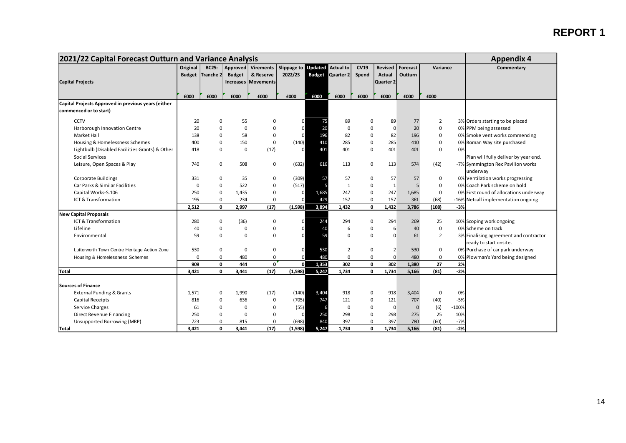| 2021/22 Capital Forecast Outturn and Variance Analysis |             |                         |               |                            |                     |       |                         |              |                | <b>Appendix 4</b> |                |         |                                        |
|--------------------------------------------------------|-------------|-------------------------|---------------|----------------------------|---------------------|-------|-------------------------|--------------|----------------|-------------------|----------------|---------|----------------------------------------|
|                                                        | Original    | <b>BC25:</b>            |               | Approved Virements         | Slippage to Updated |       | <b>Actual to</b>        | <b>CV19</b>  | Revised        | Forecast          | Variance       |         | Commentary                             |
|                                                        |             | <b>Budget</b> Tranche 2 | <b>Budget</b> | & Reserve                  | 2022/23             |       | <b>Budget Quarter 2</b> | Spend        | <b>Actual</b>  | Outturn           |                |         |                                        |
| <b>Capital Projects</b>                                |             |                         |               | <b>Increases Movements</b> |                     |       |                         |              | Quarter 2      |                   |                |         |                                        |
|                                                        |             |                         |               |                            |                     |       |                         |              |                |                   |                |         |                                        |
|                                                        | £000        | £000                    | £000          | £000                       | £000                | £000  | £000                    | £000         | £000           | £000              | £000           |         |                                        |
| Capital Projects Approved in previous years (either    |             |                         |               |                            |                     |       |                         |              |                |                   |                |         |                                        |
| commenced or to start)                                 |             |                         |               |                            |                     |       |                         |              |                |                   |                |         |                                        |
| CCTV                                                   | 20          | 0                       | 55            | 0                          | 0                   | 75    | 89                      | $\mathbf 0$  | 89             | 77                | $\overline{2}$ |         | 3% Orders starting to be placed        |
| Harborough Innovation Centre                           | 20          | 0                       | 0             | $\pmb{0}$                  | $\overline{0}$      | 20    | $\mathbf 0$             | $\mathbf 0$  | $\mathbf 0$    | 20                | 0              |         | 0% PPM being assessed                  |
| Market Hall                                            | 138         | 0                       | 58            | $\mathbf 0$                | $\Omega$            | 196   | 82                      | $\mathbf 0$  | 82             | 196               | 0              |         | 0% Smoke vent works commencing         |
| Housing & Homelessness Schemes                         | 400         | 0                       | 150           | $\pmb{0}$                  | (140)               | 410   | 285                     | $\mathbf 0$  | 285            | 410               | 0              |         | 0% Roman Way site purchased            |
| Lightbulb (Disabled Facilities Grants) & Other         | 418         | 0                       | 0             | (17)                       | $\mathbf{0}$        | 401   | 401                     | $\mathbf 0$  | 401            | 401               | 0              | 0%      |                                        |
| <b>Social Services</b>                                 |             |                         |               |                            |                     |       |                         |              |                |                   |                |         | Plan will fully deliver by year end.   |
| Leisure, Open Spaces & Play                            | 740         | 0                       | 508           | 0                          | (632)               | 616   | 113                     | 0            | 113            | 574               | (42)           |         | -7% Symmington Rec Pavilion works      |
|                                                        |             |                         |               |                            |                     |       |                         |              |                |                   |                |         | underway                               |
| <b>Corporate Buildings</b>                             | 331         | 0                       | 35            | 0                          | (309)               | 57    | 57                      | $\mathbf 0$  | 57             | 57                | 0              |         | 0% Ventilation works progressing       |
| Car Parks & Similar Facilities                         | $\mathbf 0$ | 0                       | 522           | 0                          | (517)               |       | 1                       | $\mathbf 0$  | $\mathbf{1}$   | 5                 | $\mathbf 0$    |         | 0% Coach Park scheme on hold           |
| Capital Works-S.106                                    | 250         | 0                       | 1,435         | 0                          |                     | 1,685 | 247                     | $\mathbf 0$  | 247            | 1,685             | $\mathbf 0$    |         | 0% First round of allocations underway |
| ICT & Transformation                                   | 195         | 0                       | 234           | $\mathbf 0$                |                     | 429   | 157                     | $\mathbf 0$  | 157            | 361               | (68)           |         | -16% Netcall implementation ongoing    |
|                                                        | 2,512       | $\mathbf{0}$            | 2,997         | (17)                       | (1, 598)            | 3,894 | 1,432                   | $\mathbf{0}$ | 1,432          | 3,786             | (108)          | $-3%$   |                                        |
| <b>New Capital Proposals</b>                           |             |                         |               |                            |                     |       |                         |              |                |                   |                |         |                                        |
| ICT & Transformation                                   | 280         | 0                       | (36)          | 0                          | O                   | 244   | 294                     | 0            | 294            | 269               | 25             |         | 10% Scoping work ongoing               |
| Lifeline                                               | 40          | 0                       | 0             | $\pmb{0}$                  | $\Omega$            | 40    | 6                       | $\mathbf 0$  | 6              | 40                | 0              |         | 0% Scheme on track                     |
| Environmental                                          | 59          | 0                       | $\mathbf 0$   | $\mathbf 0$                | $\Omega$            | 59    | $\Omega$                | $\Omega$     | $\Omega$       | 61                | $\overline{2}$ |         | 3% Finalising agreement and contractor |
|                                                        |             |                         |               |                            |                     |       |                         |              |                |                   |                |         | ready to start onsite.                 |
| Lutterworth Town Centre Heritage Action Zone           | 530         | 0                       | 0             | $\mathbf 0$                | $\Omega$            | 530   | $\overline{2}$          | $\mathbf 0$  | $\overline{2}$ | 530               | 0              |         | 0% Purchase of car park underway       |
| Housing & Homelessness Schemes                         | $\Omega$    | 0                       | 480           | $\mathbf 0$                |                     | 480   | $\mathbf 0$             | $\mathbf 0$  | $\mathbf 0$    | 480               | $\mathbf 0$    |         | 0% Plowman's Yard being designed       |
|                                                        | 909         | 0                       | 444           | $\mathbf 0$                | <sub>0</sub>        | 1,353 | 302                     | $\mathbf 0$  | 302            | 1,380             | 27             | 2%      |                                        |
| <b>Total</b>                                           | 3,421       | $\mathbf{0}$            | 3.441         | (17)                       | (1,598)             | 5,247 | 1,734                   | 0            | 1,734          | 5,166             | (81)           | $-2%$   |                                        |
|                                                        |             |                         |               |                            |                     |       |                         |              |                |                   |                |         |                                        |
| <b>Sources of Finance</b>                              |             |                         |               |                            |                     |       |                         |              |                |                   |                |         |                                        |
| <b>External Funding &amp; Grants</b>                   | 1,571       | 0                       | 1,990         | (17)                       | (140)               | 3,404 | 918                     | $\mathbf 0$  | 918            | 3,404             | 0              | 0%      |                                        |
| Capital Receipts                                       | 816         | 0                       | 636           | $\mathbf 0$                | (705)               | 747   | 121                     | $\mathbf 0$  | 121            | 707               | (40)           | $-5%$   |                                        |
| Service Charges                                        | 61          | 0                       | $\Omega$      | 0                          | (55)                |       | $\mathbf 0$             | $\mathbf 0$  | $\mathbf 0$    | $\mathbf 0$       | (6)            | $-100%$ |                                        |
| Direct Revenue Financing                               | 250         | 0                       | $\Omega$      | 0                          | $\Omega$            | 250   | 298                     | 0            | 298            | 275               | 25             | 10%     |                                        |
| Unsupported Borrowing (MRP)                            | 723         | 0                       | 815           | $\Omega$                   | (698)               | 840   | 397                     | $\mathbf 0$  | 397            | 780               | (60)           | $-7%$   |                                        |
| Total                                                  | 3,421       | $\mathbf{0}$            | 3,441         | (17)                       | (1,598)             | 5,247 | 1,734                   | $\mathbf 0$  | 1,734          | 5,166             | (81)           | $-2%$   |                                        |